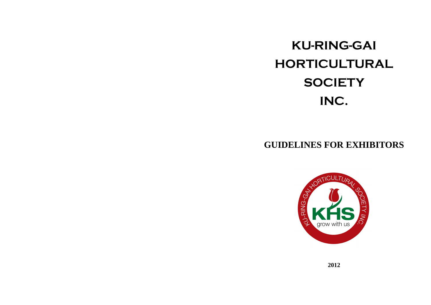# **KU-RING-GAI HORTICULTURAL SOCIETY INC.**

## **GUIDELINES FOR EXHIBITORS**

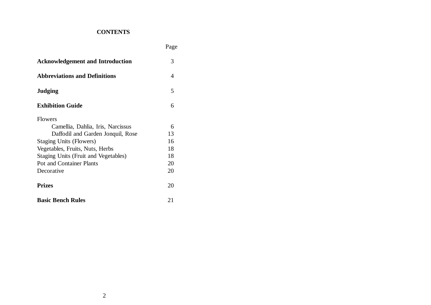## **CONTENTS**

Page

| <b>Acknowledgement and Introduction</b> | 3  |
|-----------------------------------------|----|
| <b>Abbreviations and Definitions</b>    | 4  |
| <b>Judging</b>                          | 5  |
| <b>Exhibition Guide</b>                 | 6  |
| <b>Flowers</b>                          |    |
| Camellia, Dahlia, Iris, Narcissus       | 6  |
| Daffodil and Garden Jonquil, Rose       | 13 |
| <b>Staging Units (Flowers)</b>          | 16 |
| Vegetables, Fruits, Nuts, Herbs         | 18 |
| Staging Units (Fruit and Vegetables)    | 18 |
| <b>Pot and Container Plants</b>         | 20 |
| Decorative                              | 20 |
| <b>Prizes</b>                           | 20 |
| <b>Basic Bench Rules</b>                | 21 |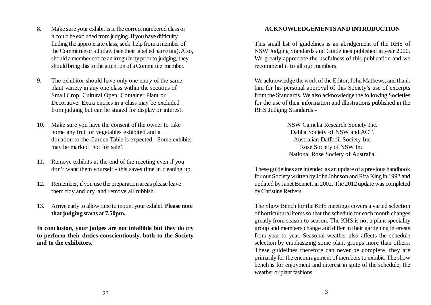- 8. Make sure your exhibit is in the correct numbered class or it could be excluded from judging. If you have difficulty finding the appropriate class, seek help from a member of the Committee or a Judge. (see their labelled name tag). Also, should a member notice an irregularity prior to judging, they should bring this to the attention of a Committee member.
- 9. The exhibitor should have only one entry of the same plant variety in any one class within the sections of Small Crop, Cultural Open, Container Plant or Decorative. Extra entries in a class may be excluded from judging but can be staged for display or interest.
- 10. Make sure you have the consent of the owner to take home any fruit or vegetables exhibited and a donation to the Garden Table is expected. Some exhibits may be marked 'not for sale'.
- 11. Remove exhibits at the end of the meeting even if you don't want them yourself - this saves time in cleaning up.
- 12. Remember, if you use the preparation areas please leave them tidy and dry, and remove all rubbish.
- 13. Arrive early to allow time to mount your exhibit. **Please note that judging starts at 7.50pm.**

**In conclusion, your judges are not infallible but they do try to perform their duties conscientiously, both to the Society and to the exhibitors.**

## **ACKNOWLEDGEMENTS AND INTRODUCTION**

This small list of guidelines is an abridgement of the RHS of NSW Judging Standards and Guidelines published in year 2000. We greatly appreciate the usefulness of this publication and we recommend it to all our members.

We acknowledge the work of the Editor, John Mathews, and thank him for his personal approval of this Society's use of excerpts from the Standards. We also acknowledge the following Societies for the use of their information and illustrations published in the RHS Judging Standards:-

> NSW Camelia Research Society Inc. Dahlia Society of NSW and ACT. Australian Daffodil Society Inc. Rose Society of NSW Inc. National Rose Society of Australia.

These guidelines are intended as an update of a previous handbook for our Society written by John Johnson and Rita King in 1992 and updated by Janet Bennett in 2002. The 2012 update was completed by Christine Rethers.

The Show Bench for the KHS meetings covers a varied selection of horticultural items so that the schedule for each month changes greatly from season to season. The KHS is not a plant speciality group and members change and differ in their gardening interests from year to year. Seasonal weather also affects the schedule selection by emphasizing some plant groups more than others. These guidelines therefore can never be complete, they are primarily for the encouragement of members to exhibit. The show bench is for enjoyment and interest in spite of the schedule, the weather or plant fashions.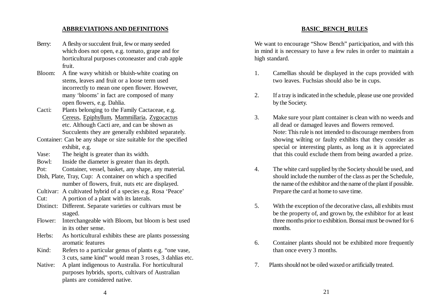#### **ABBREVIATIONS AND DEFINITIONS**

- Berry: A fleshy or succulent fruit, few or many seeded which does not open, e.g. tomato, grape and for horticultural purposes cotoneaster and crab apple fruit.
- Bloom: A fine wavy whitish or bluish-white coating on stems, leaves and fruit or a loose term used incorrectly to mean one open flower. However, many 'blooms' in fact are composed of many open flowers, e.g. Dahlia.
- Cacti: Plants belonging to the Family Cactaceae, e.g. Cereus, Epiphyllum, Mammillaria, Zygocactus etc. Although Cacti are, and can be shown as Succulents they are generally exhibited separately.
- Container: Can be any shape or size suitable for the specified exhibit, e.g.
- Vase: The height is greater than its width.

Bowl: Inside the diameter is greater than its depth.

- Pot: Container, vessel, basket, any shape, any material.
- Dish, Plate, Tray, Cup: A container on which a specified number of flowers, fruit, nuts etc are displayed.
- Cultivar: A cultivated hybrid of a species e.g. Rosa 'Peace'
- Cut: A portion of a plant with its laterals.
- Distinct: Different. Separate varieties or cultivars must be staged.
- Flower: Interchangeable with Bloom, but bloom is best used in its other sense.
- Herbs: As horticultural exhibits these are plants possessing aromatic features
- Kind: Refers to a particular genus of plants e.g. "one vase, 3 cuts, same kind" would mean 3 roses, 3 dahlias etc.
- Native: A plant indigenous to Australia. For horticultural purposes hybrids, sports, cultivars of Australian plants are considered native.

## We want to encourage "Show Bench" participation, and with this in mind it is necessary to have a few rules in order to maintain a high standard.

**BASIC\_BENCH\_RULES**

- 1. Camellias should be displayed in the cups provided with two leaves. Fuchsias should also be in cups.
- 2. If a tray is indicated in the schedule, please use one provided by the Society.
- 3. Make sure your plant container is clean with no weeds and all dead or damaged leaves and flowers removed. Note: This rule is not intended to discourage members from showing wilting or faulty exhibits that they consider as special or interesting plants, as long as it is appreciated that this could exclude them from being awarded a prize.
- 4. The white card supplied by the Society should be used, and should include the number of the class as per the Schedule, the name of the exhibitor and the name of the plant if possible. Prepare the card at home to save time.
- 5. With the exception of the decorative class, all exhibits must be the property of, and grown by, the exhibitor for at least three months prior to exhibition. Bonsai must be owned for 6 months.
- 6. Container plants should not be exhibited more frequently than once every 3 months.
- 7. Plants should not be oiled waxed or artificially treated.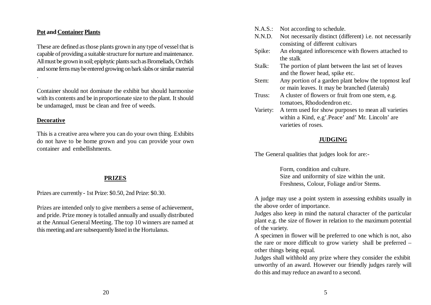#### **Pot and Container Plants**

These are defined as those plants grown in any type of vessel that is capable of providing a suitable structure for nurture and maintenance. All must be grown in soil; epiphytic plants such as Bromeliads, Orchids and some ferns may be entered growing on bark slabs or similar material

Container should not dominate the exhibit but should harmonise with its contents and be in proportionate size to the plant. It should be undamaged, must be clean and free of weeds.

#### **Decorative**

.

This is a creative area where you can do your own thing. Exhibits do not have to be home grown and you can provide your own container and embellishments.

## **PRIZES**

Prizes are currently - 1st Prize: \$0.50, 2nd Prize: \$0.30.

Prizes are intended only to give members a sense of achievement, and pride. Prize money is totalled annually and usually distributed at the Annual General Meeting. The top 10 winners are named at this meeting and are subsequently listed in the Hortulanus.

- N.A.S.: Not according to schedule.
- N.N.D. Not necessarily distinct (different) i.e. not necessarily consisting of different cultivars
- Spike: An elongated inflorescence with flowers attached to the stalk
- Stalk: The portion of plant between the last set of leaves and the flower head, spike etc.
- Stem: Any portion of a garden plant below the topmost leaf or main leaves. It may be branched (laterals)
- Truss: A cluster of flowers or fruit from one stem, e.g. tomatoes, Rhododendron etc.
- Variety: A term used for show purposes to mean all varieties within a Kind, e.g'.Peace' and' Mr. Lincoln' are varieties of roses.

## **JUDGING**

The General qualities that judges look for are:-

Form, condition and culture. Size and uniformity of size within the unit. Freshness, Colour, Foliage and/or Stems.

A judge may use a point system in assessing exhibits usually in the above order of importance.

Judges also keep in mind the natural character of the particular plant e.g. the size of flower in relation to the maximum potential of the variety.

A specimen in flower will be preferred to one which is not, also the rare or more difficult to grow variety shall be preferred – other things being equal.

Judges shall withhold any prize where they consider the exhibit unworthy of an award. However our friendly judges rarely will do this and may reduce an award to a second.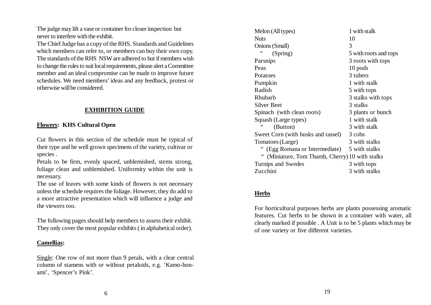The judge may lift a vase or container for closer inspection but never to interfere with the exhibit.

The Chief Judge has a copy of the RHS. Standards and Guidelines which members can refer to, or members can buy their own copy. The standards of the RHS NSW are adhered to but if members wish to change the rules to suit local requirements, please alert a Committee member and an ideal compromise can be made to improve future schedules. We need members' ideas and any feedback, protest or otherwise will be considered.

## **EXHIBITION GUIDE**

## **Flowers: KHS Cultural Open**

Cut flowers in this section of the schedule must be typical of their type and be well grown specimens of the variety, cultivar or species .

Petals to be firm, evenly spaced, unblemished, stems strong, foliage clean and unblemished. Uniformity within the unit is necessary.

The use of leaves with some kinds of flowers is not necessary unless the schedule requires the foliage. However, they do add to a more attractive presentation which will influence a judge and the viewers too.

The following pages should help members to assess their exhibit. They only cover the most popular exhibits ( in alphabetical order).

## **Camellias:**

Single: One row of not more than 9 petals, with a clear central column of stamens with or without petaloids, e.g. 'Kamo-honami', 'Spencer's Pink'.

Melon (All types) 1 with stalk Nuts 10 Onions (Small) 3 " (Spring) 5 with roots and tops Parsnips 3 roots with tops Peas 10 pods Potatoes 3 tubers Pumpkin 1 with stalk Radish 5 with tops Rhubarb 3 stalks with tops Silver Beet 3 stalks Spinach (with clean roots) 3 plants or bunch Squash (Large types) 1 with stalk<br>  $\frac{1}{2}$  with stalk (Button) 3 with stalk Sweet Corn (with husks and tassel) 3 cobs Tomatoes (Large) 3 with stalks " (Egg Romana or Intermediate) 5 with stalks " (Miniature, Tom Thumb, Cherry) 10 with stalks Turnips and Swedes 3 with tops Zucchini 3 with stalks

## **Herbs**

For horticultural purposes herbs are plants possessing aromatic features. Cut herbs to be shown in a container with water, all clearly marked if possible . A Unit is to be 5 plants which may be of one variety or five different varieties.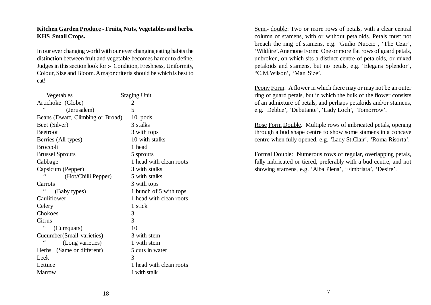## **Kitchen Garden Produce - Fruits, Nuts, Vegetables and herbs. KHS Small Crops.**

In our ever changing world with our ever changing eating habits the distinction between fruit and vegetable becomes harder to define. Judges in this section look for :- Condition, Freshness, Uniformity, Colour, Size and Bloom. A major criteria should be which is best to eat!

| <u>Vegetables</u>                   | <b>Staging Unit</b>     |
|-------------------------------------|-------------------------|
| Artichoke (Globe)                   | $\overline{2}$          |
| 66<br>(Jerusalem)                   | 5                       |
| Beans (Dwarf, Climbing or Broad)    | 10 pods                 |
| Beet (Silver)                       | 3 stalks                |
| <b>Beetroot</b>                     | 3 with tops             |
| Berries (All types)                 | 10 with stalks          |
| <b>Broccoli</b>                     | 1 head                  |
| <b>Brussel Sprouts</b>              | 5 sprouts               |
| Cabbage                             | 1 head with clean roots |
| Capsicum (Pepper)                   | 3 with stalks           |
| (Hot/Chilli Pepper)                 | 5 with stalks           |
| Carrots                             | 3 with tops             |
| (Baby types)                        | 1 bunch of 5 with tops  |
| Cauliflower                         | 1 head with clean roots |
| Celery                              | 1 stick                 |
| Chokoes                             | 3                       |
| Citrus                              | 3                       |
| (Cumquats)                          | 10                      |
| Cucumber(Small varieties)           | 3 with stem             |
| $\leq$<br>(Long varieties)          | 1 with stem             |
| (Same or different)<br><b>Herbs</b> | 5 cuts in water         |
| Leek                                | 3                       |
| Lettuce                             | 1 head with clean roots |
| <b>Marrow</b>                       | 1 with stalk            |
|                                     |                         |

Semi- double: Two or more rows of petals, with a clear central column of stamens, with or without petaloids. Petals must not breach the ring of stamens, e.g. 'Guilio Nuccio', 'The Czar', 'Wildfire'.Anemone Form: One or more flat rows of guard petals, unbroken, on which sits a distinct centre of petaloids, or mixed petaloids and stamens, but no petals, e.g. 'Elegans Splendor', "C.M.Wilson', 'Man Size'.

Peony Form: A flower in which there may or may not be an outer ring of guard petals, but in which the bulk of the flower consists of an admixture of petals, and perhaps petaloids and/or stamens, e.g. 'Debbie', 'Debutante', 'Lady Loch', 'Tomorrow'.

Rose Form Double. Multiple rows of imbricated petals, opening through a bud shape centre to show some stamens in a concave centre when fully opened, e.g. 'Lady St.Clair', 'Roma Risorta'.

Formal Double: Numerous rows of regular, overlapping petals, fully imbricated or tiered, preferably with a bud centre, and not showing stamens, e.g. 'Alba Plena', 'Fimbriata', 'Desire'.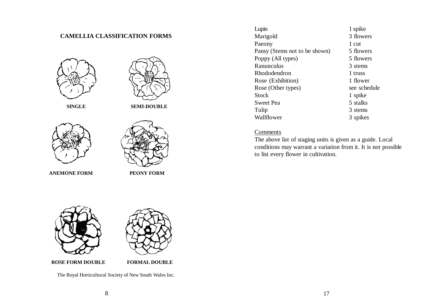## **CAMELLIA CLASSIFICATION FORMS**





**ANEMONE FORM PEONY FORM** 

| Lupin                         | 1 spike      |
|-------------------------------|--------------|
| Marigold                      | 3 flowers    |
| Paeony                        | 1 cut        |
| Pansy (Stems not to be shown) | 5 flowers    |
| Poppy (All types)             | 5 flowers    |
| Ranunculus                    | 3 stems      |
| Rhododendron                  | 1 truss      |
| Rose (Exhibition)             | 1 flower     |
| Rose (Other types)            | see schedule |
| Stock                         | 1 spike      |
| Sweet Pea                     | 5 stalks     |
| Tulip                         | 3 stems      |
| Wallflower                    | 3 spikes     |

#### **Comments**

The above list of staging units is given as a guide. Local conditions may warrant a variation from it. It is not possible to list every flower in cultivation.



The Royal Horticultural Society of New South Wales Inc.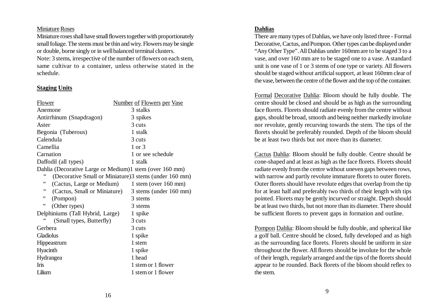#### Miniature Roses

Miniature roses shall have small flowers together with proportionately small foliage. The stems must be thin and wiry. Flowers may be single or double, borne singly or in well balanced terminal clusters.

Note: 3 stems, irrespective of the number of flowers on each stem, same cultivar to a container, unless otherwise stated in the schedule.

#### **Staging Units**

| <b>Number of Flowers per Vase</b>                       |
|---------------------------------------------------------|
| 3 stalks                                                |
| 3 spikes                                                |
| 3 cuts                                                  |
| 1 stalk                                                 |
| 3 cuts                                                  |
| 1 or 3                                                  |
| 1 or see schedule                                       |
| 1 stalk                                                 |
| Dahlia (Decorative Large or Medium)1 stem (over 160 mm) |
| (Decorative Small or Miniature) 3 stems (under 160 mm)  |
| (Cactus, Large or Medium)<br>$1$ stem (over $160$ mm)   |
| (Cactus, Small or Miniature)<br>3 stems (under 160 mm)  |
| 3 stems                                                 |
| 3 stems                                                 |
| Delphiniums (Tall Hybrid, Large)<br>1 spike             |
| 3 cuts                                                  |
| 3 cuts                                                  |
| 1 spike                                                 |
| 1 stem                                                  |
| 1 spike                                                 |
| 1 head                                                  |
| 1 stem or 1 flower                                      |
| 1 stem or 1 flower                                      |
|                                                         |

## **Dahlias**

There are many types of Dahlias, we have only listed three - Formal Decorative, Cactus, and Pompon. Other types can be displayed under "Any Other Type". All Dahlias under 160mm are to be staged 3 to a vase, and over 160 mm are to be staged one to a vase. A standard unit is one vase of 1 or 3 stems of one type or variety. All flowers should be staged without artificial support, at least 160mm clear of the vase, between the centre of the flower and the top of the container.

Formal Decorative Dahlia: Bloom should be fully double. The centre should be closed and should be as high as the surrounding face florets. Florets should radiate evenly from the centre without gaps, should be broad, smooth and being neither markedly involute nor revolute, gently recurving towards the stem. The tips of the florets should be preferably rounded. Depth of the bloom should be at least two thirds but not more than its diameter.

Cactus Dahlia: Bloom should be fully double. Centre should be cone-shaped and at least as high as the face florets. Florets should radiate evenly from the centre without uneven gaps between rows, with narrow and partly revolute immature florets to outer florets. Outer florets should have revolute edges that overlap from the tip for at least half and preferably two thirds of their length with tips pointed. Florets may be gently incurved or straight. Depth should be at least two thirds, but not more than its diameter. There should be sufficient florets to prevent gaps in formation and outline.

Pompon Dahlia: Bloom should be fully double, and spherical like a golf ball. Centre should be closed, fully developed and as high as the surrounding face florets. Florets should be uniform in size throughout the flower. All florets should be involute for the whole of their length, regularly arranged and the tips of the florets should appear to be rounded. Back florets of the bloom should reflex to the stem.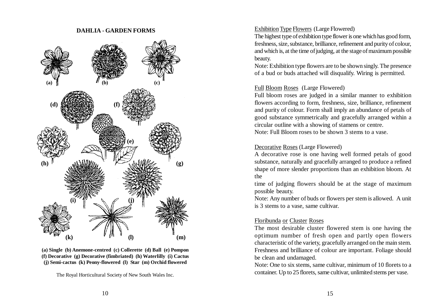#### **DAHLIA - GARDEN FORMS**



**(a) Single (b) Anemone-centred (c) Collerette (d) Ball (e) Pompon (f) Decorative (g) Decorative (fimbriated) (h) Waterlilly (i) Cactus (j) Semi-cactus (k) Peony-flowered (l) Star (m) Orchid flowered**

The Royal Horticultural Society of New South Wales Inc.

#### Exhibition Type Flowers (Large Flowered)

The highest type of exhibition type flower is one which has good form, freshness, size, substance, brilliance, refinement and purity of colour, and which is, at the time of judging, at the stage of maximum possible beauty.

Note: Exhibition type flowers are to be shown singly. The presence of a bud or buds attached will disqualify. Wiring is permitted.

## Full Bloom Roses (Large Flowered)

Full bloom roses are judged in a similar manner to exhibition flowers according to form, freshness, size, brilliance, refinement and purity of colour. Form shall imply an abundance of petals of good substance symmetrically and gracefully arranged within a circular outline with a showing of stamens or centre.

Note: Full Bloom roses to be shown 3 stems to a vase.

#### Decorative Roses (Large Flowered)

A decorative rose is one having well formed petals of good substance, naturally and gracefully arranged to produce a refined shape of more slender proportions than an exhibition bloom. At the

time of judging flowers should be at the stage of maximum possible beauty.

Note: Any number of buds or flowers per stem is allowed. A unit is 3 stems to a vase, same cultivar.

## Floribunda or Cluster Roses

The most desirable cluster flowered stem is one having the optimum number of fresh open and partly open flowers characteristic of the variety, gracefully arranged on the main stem. Freshness and brilliance of colour are important. Foliage should be clean and undamaged.

Note: One to six stems, same cultivar, minimum of 10 florets to a container. Up to 25 florets, same cultivar, unlimited stems per vase.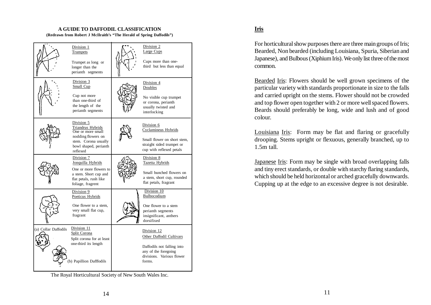#### **A GUIDE TO DAFFODIL CLASSIFICATION (Redrawn from Robert J McIlraith's "The Herald of Spring Daffodils")**

Division 1 **Trumpets** Division 2 Large Cups Cups more than onethird but less than equal Division 3 Small Cup Trumpet as long or longer than the perianth segments Cup not more than one-third of the length of the perianth segments Division 4 Doubles No visible cup trumpet or corona, perianth usually twisted and interlocking Division 5 Triandrus Hybrids One or more small nodding flowers on stem. Corona usually bowl shaped, perianth reflexed Division 6 Cyclamineus Hybrids Small flower on short stem, straight sided trumpet or cup with reflexed petals Division 7 Jonquilla Hybrids One or more flowers to a stem. Short cup and flat petals, rush like foliage, fragrent Division 8 Tazetta Hybrids Small bunched flowers on a stem, short cup, rounded flat petals, fragrant Division 9 Poeticus Hybrids One flower to a stem, very small flat cup, fragrant Division 10 Bulbocodium One flower to a stem perianth segments insignificant, anthers dorsifixed (a) Collar Daffodils Papillion Dafffodils Split corona for at least one-third its length Division 12 Other Daffodil Cultivars Daffodils not falling into any of the foregoing divisions. Various flower forms. Division 11 Split Corona

#### The Royal Horticultural Society of New South Wales Inc.

## **Iris**

For horticultural show purposes there are three main groups of Iris; Bearded, Non bearded (including Louisiana, Spuria, Siberian and Japanese), and Bulbous (Xiphium Iris). We only list three of the most common.

Bearded Iris: Flowers should be well grown specimens of the particular variety with standards proportionate in size to the falls and carried upright on the stems. Flower should not be crowded and top flower open together with 2 or more well spaced flowers. Beards should preferably be long, wide and lush and of good colour.

Louisiana Iris: Form may be flat and flaring or gracefully drooping. Stems upright or flexuous, generally branched, up to 1.5m tall.

Japanese Iris: Form may be single with broad overlapping falls and tiny erect standards, or double with starchy flaring standards, which should be held horizontal or arched gracefully downwards. Cupping up at the edge to an excessive degree is not desirable.